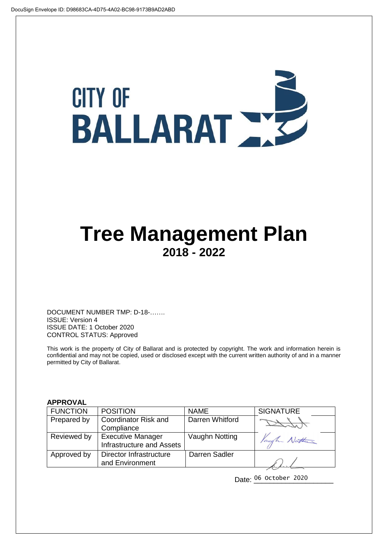# **CITY OF** BALLARAT

## **Tree Management Plan 2018 - 2022**

DOCUMENT NUMBER TMP: D-18-……. ISSUE: Version 4 ISSUE DATE: 1 October 2020 CONTROL STATUS: Approved

This work is the property of City of Ballarat and is protected by copyright. The work and information herein is confidential and may not be copied, used or disclosed except with the current written authority of and in a manner permitted by City of Ballarat.

#### **APPROVAL**

| <b>FUNCTION</b> | <b>POSITION</b>                  | <b>NAME</b>     | <b>SIGNATURE</b> |
|-----------------|----------------------------------|-----------------|------------------|
| Prepared by     | Coordinator Risk and             | Darren Whitford |                  |
|                 | Compliance                       |                 |                  |
| Reviewed by     | <b>Executive Manager</b>         | Vaughn Notting  | Vaugh Nathan     |
|                 | <b>Infrastructure and Assets</b> |                 |                  |
| Approved by     | Director Infrastructure          | Darren Sadler   |                  |
|                 | and Environment                  |                 |                  |

Date: 06 October 2020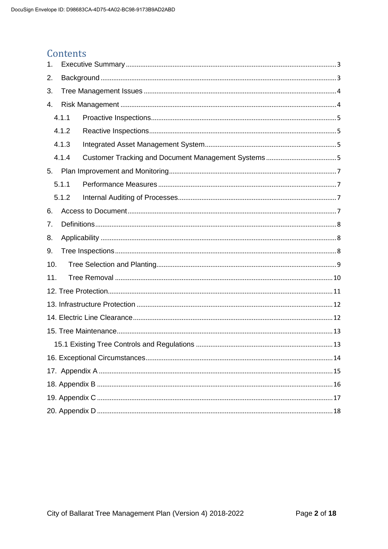#### **Contents**

| 1.  |       |  |  |  |  |
|-----|-------|--|--|--|--|
| 2.  |       |  |  |  |  |
| 3.  |       |  |  |  |  |
| 4.  |       |  |  |  |  |
|     | 4.1.1 |  |  |  |  |
|     | 4.1.2 |  |  |  |  |
|     | 4.1.3 |  |  |  |  |
|     | 4.1.4 |  |  |  |  |
| 5.  |       |  |  |  |  |
|     | 5.1.1 |  |  |  |  |
|     | 5.1.2 |  |  |  |  |
| 6.  |       |  |  |  |  |
| 7.  |       |  |  |  |  |
| 8.  |       |  |  |  |  |
| 9.  |       |  |  |  |  |
| 10. |       |  |  |  |  |
| 11. |       |  |  |  |  |
|     |       |  |  |  |  |
|     |       |  |  |  |  |
|     |       |  |  |  |  |
|     |       |  |  |  |  |
|     |       |  |  |  |  |
|     |       |  |  |  |  |
|     |       |  |  |  |  |
|     |       |  |  |  |  |
|     |       |  |  |  |  |
|     |       |  |  |  |  |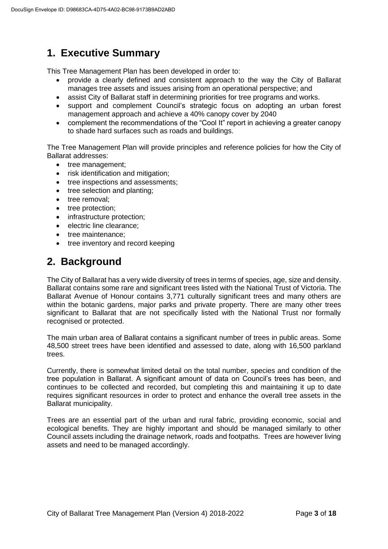## **1. Executive Summary**

This Tree Management Plan has been developed in order to:

- provide a clearly defined and consistent approach to the way the City of Ballarat manages tree assets and issues arising from an operational perspective; and
- assist City of Ballarat staff in determining priorities for tree programs and works.
- support and complement Council's strategic focus on adopting an urban forest management approach and achieve a 40% canopy cover by 2040
- complement the recommendations of the "Cool It" report in achieving a greater canopy to shade hard surfaces such as roads and buildings.

The Tree Management Plan will provide principles and reference policies for how the City of Ballarat addresses:

- tree management;
- risk identification and mitigation;
- tree inspections and assessments;
- tree selection and planting:
- tree removal:
- tree protection;
- infrastructure protection;
- **e** electric line clearance:
- tree maintenance:
- tree inventory and record keeping

## **2. Background**

The City of Ballarat has a very wide diversity of trees in terms of species, age, size and density. Ballarat contains some rare and significant trees listed with the National Trust of Victoria. The Ballarat Avenue of Honour contains 3,771 culturally significant trees and many others are within the botanic gardens, major parks and private property. There are many other trees significant to Ballarat that are not specifically listed with the National Trust nor formally recognised or protected.

The main urban area of Ballarat contains a significant number of trees in public areas. Some 48,500 street trees have been identified and assessed to date, along with 16,500 parkland trees.

Currently, there is somewhat limited detail on the total number, species and condition of the tree population in Ballarat. A significant amount of data on Council's trees has been, and continues to be collected and recorded, but completing this and maintaining it up to date requires significant resources in order to protect and enhance the overall tree assets in the Ballarat municipality.

Trees are an essential part of the urban and rural fabric, providing economic, social and ecological benefits. They are highly important and should be managed similarly to other Council assets including the drainage network, roads and footpaths. Trees are however living assets and need to be managed accordingly.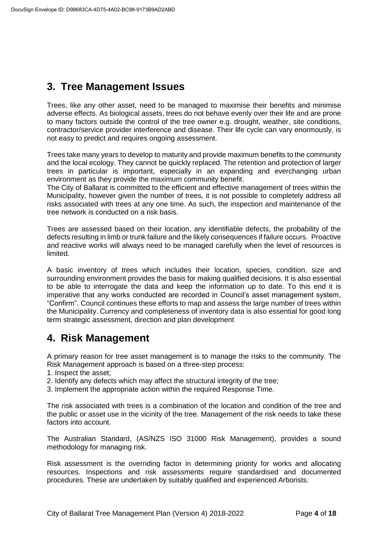## **3. Tree Management Issues**

Trees, like any other asset, need to be managed to maximise their benefits and minimise adverse effects. As biological assets, trees do not behave evenly over their life and are prone to many factors outside the control of the tree owner e.g. drought, weather, site conditions, contractor/service provider interference and disease. Their life cycle can vary enormously, is not easy to predict and requires ongoing assessment.

Trees take many years to develop to maturity and provide maximum benefits to the community and the local ecology. They cannot be quickly replaced. The retention and protection of larger trees in particular is important, especially in an expanding and everchanging urban environment as they provide the maximum community benefit.

The City of Ballarat is committed to the efficient and effective management of trees within the Municipality, however given the number of trees, it is not possible to completely address all risks associated with trees at any one time. As such, the inspection and maintenance of the tree network is conducted on a risk basis.

Trees are assessed based on their location, any identifiable defects, the probability of the defects resulting in limb or trunk failure and the likely consequences if failure occurs. Proactive and reactive works will always need to be managed carefully when the level of resources is limited.

A basic inventory of trees which includes their location, species, condition, size and surrounding environment provides the basis for making qualified decisions. It is also essential to be able to interrogate the data and keep the information up to date. To this end it is imperative that any works conducted are recorded in Council's asset management system, "Confirm". Council continues these efforts to map and assess the large number of trees within the Municipality. Currency and completeness of inventory data is also essential for good long term strategic assessment, direction and plan development

## **4. Risk Management**

A primary reason for tree asset management is to manage the risks to the community. The Risk Management approach is based on a three-step process:

- 1. Inspect the asset;
- 2. Identify any defects which may affect the structural integrity of the tree;
- 3. Implement the appropriate action within the required Response Time.

The risk associated with trees is a combination of the location and condition of the tree and the public or asset use in the vicinity of the tree. Management of the risk needs to take these factors into account.

The Australian Standard, (AS/NZS ISO 31000 Risk Management), provides a sound methodology for managing risk.

Risk assessment is the overriding factor in determining priority for works and allocating resources. Inspections and risk assessments require standardised and documented procedures. These are undertaken by suitably qualified and experienced Arborists.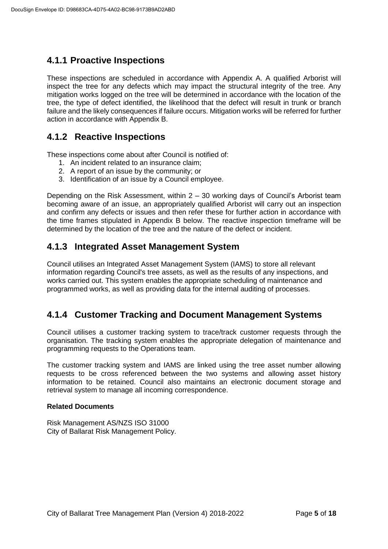#### **4.1.1 Proactive Inspections**

These inspections are scheduled in accordance with Appendix A. A qualified Arborist will inspect the tree for any defects which may impact the structural integrity of the tree. Any mitigation works logged on the tree will be determined in accordance with the location of the tree, the type of defect identified, the likelihood that the defect will result in trunk or branch failure and the likely consequences if failure occurs. Mitigation works will be referred for further action in accordance with Appendix B.

#### **4.1.2 Reactive Inspections**

These inspections come about after Council is notified of:

- 1. An incident related to an insurance claim;
- 2. A report of an issue by the community; or
- 3. Identification of an issue by a Council employee.

Depending on the Risk Assessment, within  $2 - 30$  working days of Council's Arborist team becoming aware of an issue, an appropriately qualified Arborist will carry out an inspection and confirm any defects or issues and then refer these for further action in accordance with the time frames stipulated in Appendix B below. The reactive inspection timeframe will be determined by the location of the tree and the nature of the defect or incident.

#### **4.1.3 Integrated Asset Management System**

Council utilises an Integrated Asset Management System (IAMS) to store all relevant information regarding Council's tree assets, as well as the results of any inspections, and works carried out. This system enables the appropriate scheduling of maintenance and programmed works, as well as providing data for the internal auditing of processes.

#### **4.1.4 Customer Tracking and Document Management Systems**

Council utilises a customer tracking system to trace/track customer requests through the organisation. The tracking system enables the appropriate delegation of maintenance and programming requests to the Operations team.

The customer tracking system and IAMS are linked using the tree asset number allowing requests to be cross referenced between the two systems and allowing asset history information to be retained. Council also maintains an electronic document storage and retrieval system to manage all incoming correspondence.

#### **Related Documents**

Risk Management AS/NZS ISO 31000 City of Ballarat Risk Management Policy.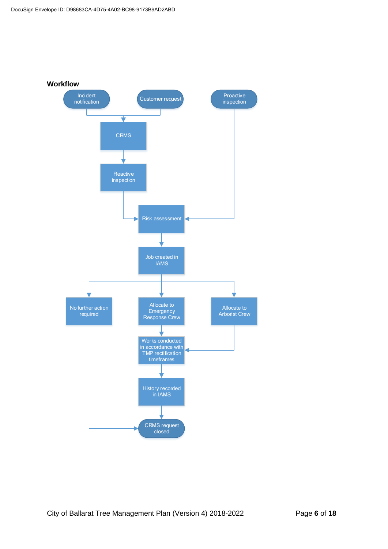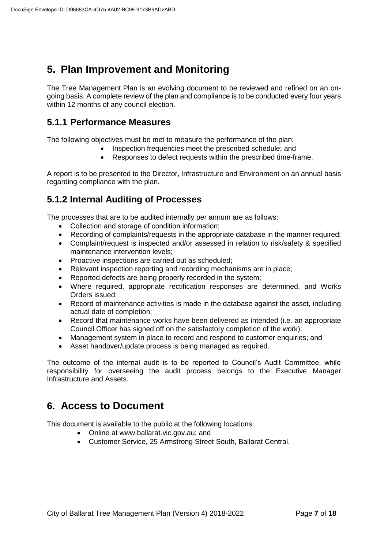## **5. Plan Improvement and Monitoring**

The Tree Management Plan is an evolving document to be reviewed and refined on an ongoing basis. A complete review of the plan and compliance is to be conducted every four years within 12 months of any council election.

#### **5.1.1 Performance Measures**

The following objectives must be met to measure the performance of the plan:

- Inspection frequencies meet the prescribed schedule; and
- Responses to defect requests within the prescribed time-frame.

A report is to be presented to the Director, Infrastructure and Environment on an annual basis regarding compliance with the plan.

#### **5.1.2 Internal Auditing of Processes**

The processes that are to be audited internally per annum are as follows:

- Collection and storage of condition information:
- Recording of complaints/requests in the appropriate database in the manner required;
- Complaint/request is inspected and/or assessed in relation to risk/safety & specified maintenance intervention levels;
- Proactive inspections are carried out as scheduled;
- Relevant inspection reporting and recording mechanisms are in place:
- Reported defects are being properly recorded in the system;
- Where required, appropriate rectification responses are determined, and Works Orders issued;
- Record of maintenance activities is made in the database against the asset, including actual date of completion;
- Record that maintenance works have been delivered as intended (i.e. an appropriate Council Officer has signed off on the satisfactory completion of the work);
- Management system in place to record and respond to customer enquiries; and
- Asset handover/update process is being managed as required.

The outcome of the internal audit is to be reported to Council's Audit Committee, while responsibility for overseeing the audit process belongs to the Executive Manager Infrastructure and Assets.

#### **6. Access to Document**

This document is available to the public at the following locations:

- Online at [www.ballarat.vic.gov.au;](file://///ballarat.vic.gov.au/files/Governance%20&%20Information%20Services%20Division/Legal%20&%20Insurance/Insurance/Temporary%20files/www.ballarat.vic.gov.au;%20) and
- Customer Service, 25 Armstrong Street South, Ballarat Central.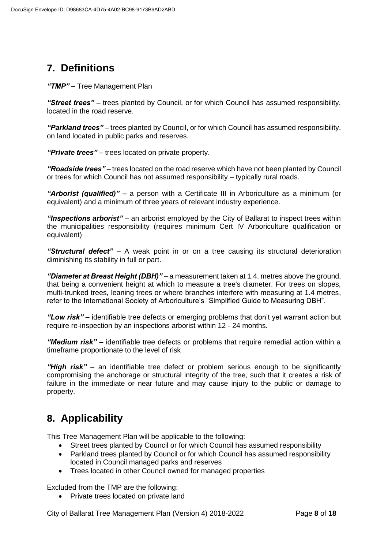## **7. Definitions**

*"TMP" –* Tree Management Plan

*"Street trees"* – trees planted by Council, or for which Council has assumed responsibility, located in the road reserve.

*"Parkland trees"* – trees planted by Council, or for which Council has assumed responsibility, on land located in public parks and reserves.

*"Private trees"* – trees located on private property.

*"Roadside trees"* – trees located on the road reserve which have not been planted by Council or trees for which Council has not assumed responsibility – typically rural roads.

*"Arborist (qualified)"* **–** a person with a Certificate III in Arboriculture as a minimum (or equivalent) and a minimum of three years of relevant industry experience.

*"Inspections arborist"* – an arborist employed by the City of Ballarat to inspect trees within the municipalities responsibility (requires minimum Cert IV Arboriculture qualification or equivalent)

*"Structural defect"* – A weak point in or on a tree causing its structural deterioration diminishing its stability in full or part.

*"Diameter at Breast Height (DBH)"* – a measurement taken at 1.4. metres above the ground, that being a convenient height at which to measure a tree's diameter. For trees on slopes, multi-trunked trees, leaning trees or where branches interfere with measuring at 1.4 metres, refer to the International Society of Arboriculture's "Simplified Guide to Measuring DBH".

*"Low risk" –* identifiable tree defects or emerging problems that don't yet warrant action but require re-inspection by an inspections arborist within 12 - 24 months.

*"Medium risk" –* identifiable tree defects or problems that require remedial action within a timeframe proportionate to the level of risk

*"High risk"* – an identifiable tree defect or problem serious enough to be significantly compromising the anchorage or structural integrity of the tree, such that it creates a risk of failure in the immediate or near future and may cause injury to the public or damage to property.

## **8. Applicability**

This Tree Management Plan will be applicable to the following:

- Street trees planted by Council or for which Council has assumed responsibility
- Parkland trees planted by Council or for which Council has assumed responsibility located in Council managed parks and reserves
- Trees located in other Council owned for managed properties

Excluded from the TMP are the following:

• Private trees located on private land

City of Ballarat Tree Management Plan (Version 4) 2018-2022 Page **8** of **18**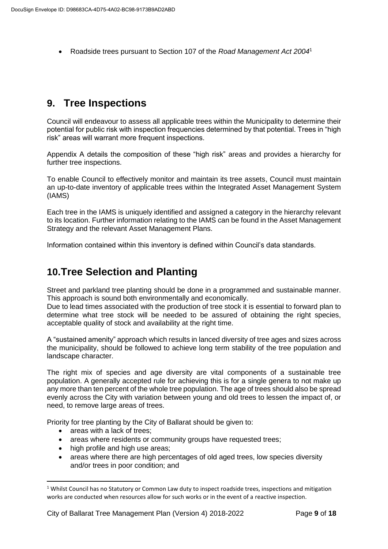Roadside trees pursuant to Section 107 of the *Road Management Act 2004*<sup>1</sup>

#### **9. Tree Inspections**

Council will endeavour to assess all applicable trees within the Municipality to determine their potential for public risk with inspection frequencies determined by that potential. Trees in "high risk" areas will warrant more frequent inspections.

Appendix A details the composition of these "high risk" areas and provides a hierarchy for further tree inspections.

To enable Council to effectively monitor and maintain its tree assets, Council must maintain an up-to-date inventory of applicable trees within the Integrated Asset Management System (IAMS)

Each tree in the IAMS is uniquely identified and assigned a category in the hierarchy relevant to its location. Further information relating to the IAMS can be found in the Asset Management Strategy and the relevant Asset Management Plans.

Information contained within this inventory is defined within Council's data standards.

#### **10.Tree Selection and Planting**

Street and parkland tree planting should be done in a programmed and sustainable manner. This approach is sound both environmentally and economically.

Due to lead times associated with the production of tree stock it is essential to forward plan to determine what tree stock will be needed to be assured of obtaining the right species, acceptable quality of stock and availability at the right time.

A "sustained amenity" approach which results in lanced diversity of tree ages and sizes across the municipality, should be followed to achieve long term stability of the tree population and landscape character.

The right mix of species and age diversity are vital components of a sustainable tree population. A generally accepted rule for achieving this is for a single genera to not make up any more than ten percent of the whole tree population. The age of trees should also be spread evenly across the City with variation between young and old trees to lessen the impact of, or need, to remove large areas of trees.

Priority for tree planting by the City of Ballarat should be given to:

• areas with a lack of trees:

**.** 

- areas where residents or community groups have requested trees;
- high profile and high use areas;
- areas where there are high percentages of old aged trees, low species diversity and/or trees in poor condition; and

 $1$  Whilst Council has no Statutory or Common Law duty to inspect roadside trees, inspections and mitigation works are conducted when resources allow for such works or in the event of a reactive inspection.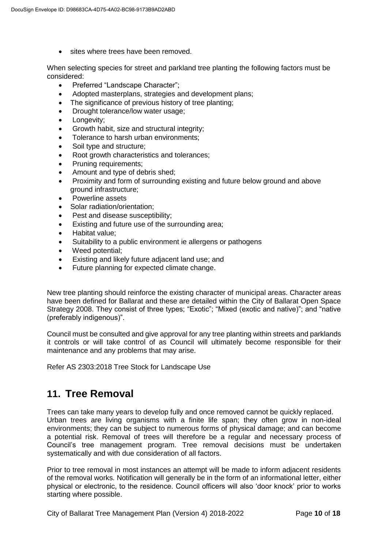• sites where trees have been removed.

When selecting species for street and parkland tree planting the following factors must be considered:

- Preferred "Landscape Character";
- Adopted masterplans, strategies and development plans;
- The significance of previous history of tree planting;
- Drought tolerance/low water usage;
- Longevity;
- Growth habit, size and structural integrity:
- Tolerance to harsh urban environments;
- Soil type and structure;
- Root growth characteristics and tolerances;
- Pruning requirements;
- Amount and type of debris shed;
- Proximity and form of surrounding existing and future below ground and above ground infrastructure;
- **Powerline assets**
- Solar radiation/orientation;
- Pest and disease susceptibility;
- Existing and future use of the surrounding area;
- Habitat value;
- Suitability to a public environment ie allergens or pathogens
- Weed potential;
- Existing and likely future adjacent land use; and
- Future planning for expected climate change.

New tree planting should reinforce the existing character of municipal areas. Character areas have been defined for Ballarat and these are detailed within the City of Ballarat Open Space Strategy 2008. They consist of three types; "Exotic"; "Mixed (exotic and native)"; and "native (preferably indigenous)".

Council must be consulted and give approval for any tree planting within streets and parklands it controls or will take control of as Council will ultimately become responsible for their maintenance and any problems that may arise.

Refer AS 2303:2018 Tree Stock for Landscape Use

#### **11. Tree Removal**

Trees can take many years to develop fully and once removed cannot be quickly replaced. Urban trees are living organisms with a finite life span; they often grow in non-ideal environments; they can be subject to numerous forms of physical damage; and can become a potential risk. Removal of trees will therefore be a regular and necessary process of Council's tree management program. Tree removal decisions must be undertaken systematically and with due consideration of all factors.

Prior to tree removal in most instances an attempt will be made to inform adjacent residents of the removal works. Notification will generally be in the form of an informational letter, either physical or electronic, to the residence. Council officers will also 'door knock' prior to works starting where possible.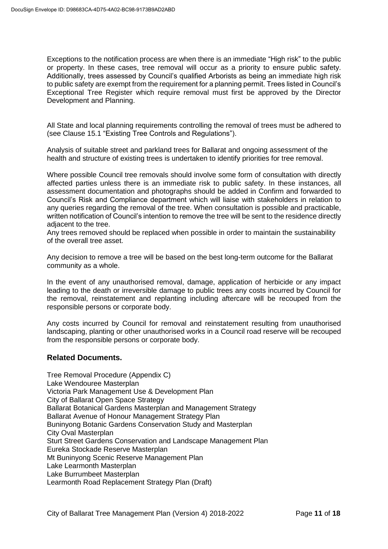Exceptions to the notification process are when there is an immediate "High risk" to the public or property. In these cases, tree removal will occur as a priority to ensure public safety. Additionally, trees assessed by Council's qualified Arborists as being an immediate high risk to public safety are exempt from the requirement for a planning permit. Trees listed in Council's Exceptional Tree Register which require removal must first be approved by the Director Development and Planning.

All State and local planning requirements controlling the removal of trees must be adhered to (see Clause 15.1 "Existing Tree Controls and Regulations").

Analysis of suitable street and parkland trees for Ballarat and ongoing assessment of the health and structure of existing trees is undertaken to identify priorities for tree removal.

Where possible Council tree removals should involve some form of consultation with directly affected parties unless there is an immediate risk to public safety. In these instances, all assessment documentation and photographs should be added in Confirm and forwarded to Council's Risk and Compliance department which will liaise with stakeholders in relation to any queries regarding the removal of the tree. When consultation is possible and practicable, written notification of Council's intention to remove the tree will be sent to the residence directly adjacent to the tree.

Any trees removed should be replaced when possible in order to maintain the sustainability of the overall tree asset.

Any decision to remove a tree will be based on the best long-term outcome for the Ballarat community as a whole.

In the event of any unauthorised removal, damage, application of herbicide or any impact leading to the death or irreversible damage to public trees any costs incurred by Council for the removal, reinstatement and replanting including aftercare will be recouped from the responsible persons or corporate body.

Any costs incurred by Council for removal and reinstatement resulting from unauthorised landscaping, planting or other unauthorised works in a Council road reserve will be recouped from the responsible persons or corporate body.

#### **Related Documents.**

Tree Removal Procedure (Appendix C) Lake Wendouree Masterplan Victoria Park Management Use & Development Plan City of Ballarat Open Space Strategy Ballarat Botanical Gardens Masterplan and Management Strategy Ballarat Avenue of Honour Management Strategy Plan Buninyong Botanic Gardens Conservation Study and Masterplan City Oval Masterplan Sturt Street Gardens Conservation and Landscape Management Plan Eureka Stockade Reserve Masterplan Mt Buninyong Scenic Reserve Management Plan Lake Learmonth Masterplan Lake Burrumbeet Masterplan Learmonth Road Replacement Strategy Plan (Draft)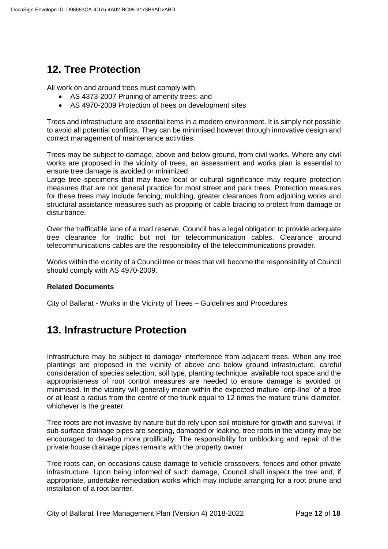## **12. Tree Protection**

All work on and around trees must comply with:

- AS 4373-2007 Pruning of amenity trees; and
- AS 4970-2009 Protection of trees on development sites

Trees and infrastructure are essential items in a modern environment. It is simply not possible to avoid all potential conflicts. They can be minimised however through innovative design and correct management of maintenance activities.

Trees may be subject to damage, above and below ground, from civil works. Where any civil works are proposed in the vicinity of trees, an assessment and works plan is essential to ensure tree damage is avoided or minimized.

Large tree specimens that may have local or cultural significance may require protection measures that are not general practice for most street and park trees. Protection measures for these trees may include fencing, mulching, greater clearances from adjoining works and structural assistance measures such as propping or cable bracing to protect from damage or disturbance.

Over the trafficable lane of a road reserve, Council has a legal obligation to provide adequate tree clearance for traffic but not for telecommunication cables. Clearance around telecommunications cables are the responsibility of the telecommunications provider.

Works within the vicinity of a Council tree or trees that will become the responsibility of Council should comply with AS 4970-2009.

#### **Related Documents**

City of Ballarat - Works in the Vicinity of Trees – Guidelines and Procedures

## **13. Infrastructure Protection**

Infrastructure may be subject to damage/ interference from adjacent trees. When any tree plantings are proposed in the vicinity of above and below ground infrastructure, careful consideration of species selection, soil type, planting technique, available root space and the appropriateness of root control measures are needed to ensure damage is avoided or minimised. In the vicinity will generally mean within the expected mature "drip-line" of a tree or at least a radius from the centre of the trunk equal to 12 times the mature trunk diameter, whichever is the greater.

Tree roots are not invasive by nature but do rely upon soil moisture for growth and survival. If sub-surface drainage pipes are seeping, damaged or leaking, tree roots in the vicinity may be encouraged to develop more prolifically. The responsibility for unblocking and repair of the private house drainage pipes remains with the property owner.

Tree roots can, on occasions cause damage to vehicle crossovers, fences and other private infrastructure. Upon being informed of such damage, Council shall inspect the tree and, if appropriate, undertake remediation works which may include arranging for a root prune and installation of a root barrier.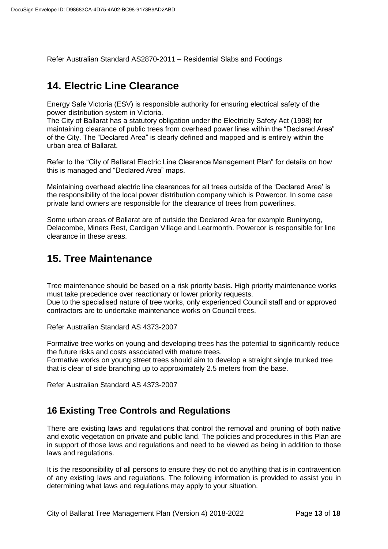Refer Australian Standard AS2870-2011 – Residential Slabs and Footings

#### **14. Electric Line Clearance**

Energy Safe Victoria (ESV) is responsible authority for ensuring electrical safety of the power distribution system in Victoria.

The City of Ballarat has a statutory obligation under the Electricity Safety Act (1998) for maintaining clearance of public trees from overhead power lines within the "Declared Area" of the City. The "Declared Area" is clearly defined and mapped and is entirely within the urban area of Ballarat.

Refer to the "City of Ballarat Electric Line Clearance Management Plan" for details on how this is managed and "Declared Area" maps.

Maintaining overhead electric line clearances for all trees outside of the 'Declared Area' is the responsibility of the local power distribution company which is Powercor. In some case private land owners are responsible for the clearance of trees from powerlines.

Some urban areas of Ballarat are of outside the Declared Area for example Buninyong, Delacombe, Miners Rest, Cardigan Village and Learmonth. Powercor is responsible for line clearance in these areas.

#### **15. Tree Maintenance**

Tree maintenance should be based on a risk priority basis. High priority maintenance works must take precedence over reactionary or lower priority requests.

Due to the specialised nature of tree works, only experienced Council staff and or approved contractors are to undertake maintenance works on Council trees.

Refer Australian Standard AS 4373-2007

Formative tree works on young and developing trees has the potential to significantly reduce the future risks and costs associated with mature trees.

Formative works on young street trees should aim to develop a straight single trunked tree that is clear of side branching up to approximately 2.5 meters from the base.

Refer Australian Standard AS 4373-2007

#### **16 Existing Tree Controls and Regulations**

There are existing laws and regulations that control the removal and pruning of both native and exotic vegetation on private and public land. The policies and procedures in this Plan are in support of those laws and regulations and need to be viewed as being in addition to those laws and regulations.

It is the responsibility of all persons to ensure they do not do anything that is in contravention of any existing laws and regulations. The following information is provided to assist you in determining what laws and regulations may apply to your situation.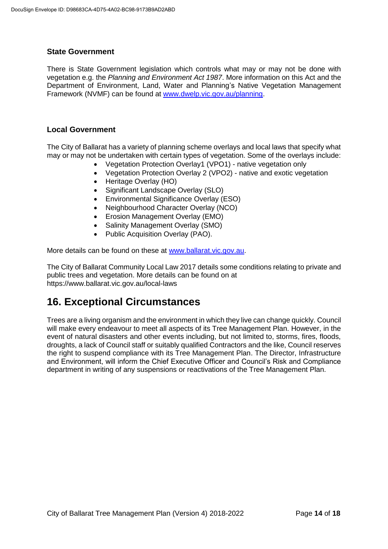#### **State Government**

There is State Government legislation which controls what may or may not be done with vegetation e.g. the *Planning and Environment Act 1987*. More information on this Act and the Department of Environment, Land, Water and Planning's Native Vegetation Management Framework (NVMF) can be found at [www.dwelp.vic.gov.au/planning.](http://www.dwelp.vic.gov.au/planning)

#### **Local Government**

The City of Ballarat has a variety of planning scheme overlays and local laws that specify what may or may not be undertaken with certain types of vegetation. Some of the overlays include:

- Vegetation Protection Overlay1 (VPO1) native vegetation only
- Vegetation Protection Overlay 2 (VPO2) native and exotic vegetation
- Heritage Overlay (HO)
- Significant Landscape Overlay (SLO)
- Environmental Significance Overlay (ESO)
- Neighbourhood Character Overlay (NCO)
- Erosion Management Overlay (EMO)
- Salinity Management Overlay (SMO)
- Public Acquisition Overlay (PAO).

More details can be found on these at [www.ballarat.vic.gov.au.](http://www.ballarat.vic.gov.au/)

The City of Ballarat Community Local Law 2017 details some conditions relating to private and public trees and vegetation. More details can be found on at https://www.ballarat.vic.gov.au/local-laws

## **16. Exceptional Circumstances**

Trees are a living organism and the environment in which they live can change quickly. Council will make every endeavour to meet all aspects of its Tree Management Plan. However, in the event of natural disasters and other events including, but not limited to, storms, fires, floods, droughts, a lack of Council staff or suitably qualified Contractors and the like, Council reserves the right to suspend compliance with its Tree Management Plan. The Director, Infrastructure and Environment, will inform the Chief Executive Officer and Council's Risk and Compliance department in writing of any suspensions or reactivations of the Tree Management Plan.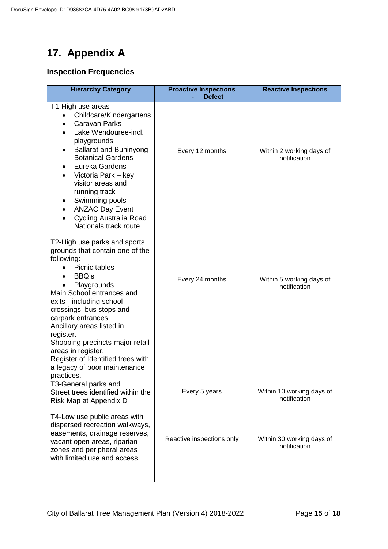## **17. Appendix A**

#### **Inspection Frequencies**

| <b>Hierarchy Category</b>                                                                                                                                                                                                                                                                                                                                                                                               | <b>Proactive Inspections</b><br><b>Defect</b> | <b>Reactive Inspections</b>               |
|-------------------------------------------------------------------------------------------------------------------------------------------------------------------------------------------------------------------------------------------------------------------------------------------------------------------------------------------------------------------------------------------------------------------------|-----------------------------------------------|-------------------------------------------|
| T1-High use areas<br>Childcare/Kindergartens<br><b>Caravan Parks</b><br>Lake Wendouree-incl.<br>playgrounds<br><b>Ballarat and Buninyong</b><br><b>Botanical Gardens</b><br>Eureka Gardens<br>Victoria Park - key<br>visitor areas and<br>running track<br>Swimming pools<br><b>ANZAC Day Event</b><br>$\bullet$<br>Cycling Australia Road<br>Nationals track route                                                     | Every 12 months                               | Within 2 working days of<br>notification  |
| T2-High use parks and sports<br>grounds that contain one of the<br>following:<br>Picnic tables<br>BBQ's<br>Playgrounds<br>Main School entrances and<br>exits - including school<br>crossings, bus stops and<br>carpark entrances.<br>Ancillary areas listed in<br>register.<br>Shopping precincts-major retail<br>areas in register.<br>Register of Identified trees with<br>a legacy of poor maintenance<br>practices. | Every 24 months                               | Within 5 working days of<br>notification  |
| T3-General parks and<br>Street trees identified within the<br>Risk Map at Appendix D                                                                                                                                                                                                                                                                                                                                    | Every 5 years                                 | Within 10 working days of<br>notification |
| T4-Low use public areas with<br>dispersed recreation walkways,<br>easements, drainage reserves,<br>vacant open areas, riparian<br>zones and peripheral areas<br>with limited use and access                                                                                                                                                                                                                             | Reactive inspections only                     | Within 30 working days of<br>notification |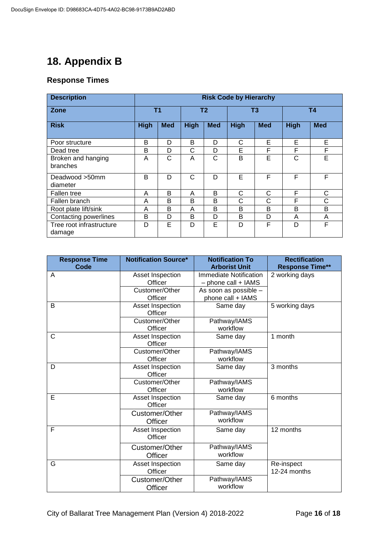## **18. Appendix B**

#### **Response Times**

| <b>Description</b>                 | <b>Risk Code by Hierarchy</b> |            |             |            |             |            |             |            |
|------------------------------------|-------------------------------|------------|-------------|------------|-------------|------------|-------------|------------|
| Zone                               | <b>T1</b>                     |            | <b>T2</b>   |            | T3          |            | <b>T4</b>   |            |
| <b>Risk</b>                        | <b>High</b>                   | <b>Med</b> | <b>High</b> | <b>Med</b> | <b>High</b> | <b>Med</b> | <b>High</b> | <b>Med</b> |
| Poor structure                     | B                             | D          | B           | D          | С           | E          | E           | E          |
| Dead tree                          | B                             | D          | С           | D          | E           | F          | F           | F          |
| Broken and hanging<br>branches     | A                             | C          | A           | C          | B           | E          | C           | E          |
| Deadwood >50mm<br>diameter         | B                             | D          | C           | D          | Е           | F          | F           | F          |
| <b>Fallen tree</b>                 | A                             | B          | A           | B          | С           | C          | F           | C          |
| Fallen branch                      | A                             | B          | B           | B          | С           | С          | F           | C          |
| Root plate lift/sink               | A                             | B          | A           | B          | B           | B          | B           | B          |
| Contacting powerlines              | B                             | D          | B           | D          | B           | D          | A           | A          |
| Tree root infrastructure<br>damage | D                             | E          | D           | Е          | D           | F          | D           | F          |

| <b>Notification Source*</b> | <b>Notification To</b>                                                                                                                                                           | <b>Rectification</b>                                                                                                                                                                                                               |  |
|-----------------------------|----------------------------------------------------------------------------------------------------------------------------------------------------------------------------------|------------------------------------------------------------------------------------------------------------------------------------------------------------------------------------------------------------------------------------|--|
|                             |                                                                                                                                                                                  | <b>Response Time**</b>                                                                                                                                                                                                             |  |
|                             |                                                                                                                                                                                  | 2 working days                                                                                                                                                                                                                     |  |
|                             |                                                                                                                                                                                  |                                                                                                                                                                                                                                    |  |
|                             |                                                                                                                                                                                  |                                                                                                                                                                                                                                    |  |
|                             |                                                                                                                                                                                  |                                                                                                                                                                                                                                    |  |
|                             |                                                                                                                                                                                  | 5 working days                                                                                                                                                                                                                     |  |
|                             |                                                                                                                                                                                  |                                                                                                                                                                                                                                    |  |
| Officer                     | workflow                                                                                                                                                                         |                                                                                                                                                                                                                                    |  |
| Asset Inspection            | Same day                                                                                                                                                                         | 1 month                                                                                                                                                                                                                            |  |
|                             |                                                                                                                                                                                  |                                                                                                                                                                                                                                    |  |
|                             |                                                                                                                                                                                  |                                                                                                                                                                                                                                    |  |
|                             |                                                                                                                                                                                  | 3 months                                                                                                                                                                                                                           |  |
| Officer                     |                                                                                                                                                                                  |                                                                                                                                                                                                                                    |  |
| Customer/Other              |                                                                                                                                                                                  |                                                                                                                                                                                                                                    |  |
| Officer                     | workflow                                                                                                                                                                         |                                                                                                                                                                                                                                    |  |
| Asset Inspection            | Same day                                                                                                                                                                         | 6 months                                                                                                                                                                                                                           |  |
| Officer                     |                                                                                                                                                                                  |                                                                                                                                                                                                                                    |  |
| Customer/Other              |                                                                                                                                                                                  |                                                                                                                                                                                                                                    |  |
| Officer                     | workflow                                                                                                                                                                         |                                                                                                                                                                                                                                    |  |
| Asset Inspection            | Same day                                                                                                                                                                         | 12 months                                                                                                                                                                                                                          |  |
|                             |                                                                                                                                                                                  |                                                                                                                                                                                                                                    |  |
| Customer/Other              | Pathway/IAMS                                                                                                                                                                     |                                                                                                                                                                                                                                    |  |
| Officer                     | workflow                                                                                                                                                                         |                                                                                                                                                                                                                                    |  |
| Asset Inspection            | Same day                                                                                                                                                                         | Re-inspect                                                                                                                                                                                                                         |  |
| Officer                     |                                                                                                                                                                                  | 12-24 months                                                                                                                                                                                                                       |  |
| Customer/Other              | Pathway/IAMS                                                                                                                                                                     |                                                                                                                                                                                                                                    |  |
| Officer                     | workflow                                                                                                                                                                         |                                                                                                                                                                                                                                    |  |
|                             | Asset Inspection<br>Officer<br>Customer/Other<br>Officer<br>Asset Inspection<br>Officer<br>Customer/Other<br>Officer<br>Customer/Other<br>Officer<br>Asset Inspection<br>Officer | <b>Arborist Unit</b><br><b>Immediate Notification</b><br>$-$ phone call $+$ IAMS<br>As soon as possible -<br>phone call + IAMS<br>Same day<br>Pathway/IAMS<br>Pathway/IAMS<br>workflow<br>Same day<br>Pathway/IAMS<br>Pathway/IAMS |  |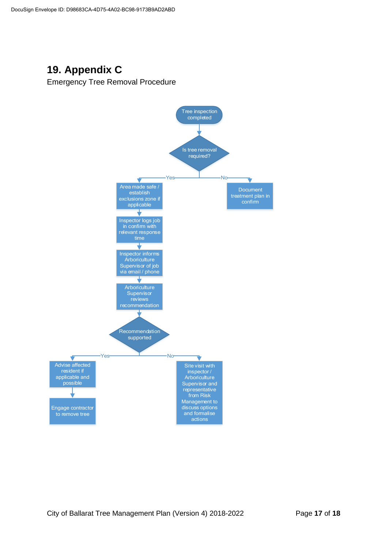## **19. Appendix C**

Emergency Tree Removal Procedure